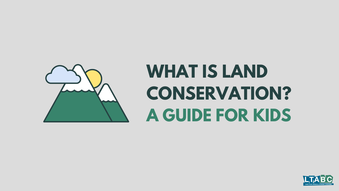# **WHAT IS LAND CONSERVATION? A GUIDE FOR KIDS**



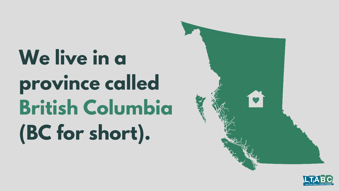**We live in a province called British Columbia (BC for short).**



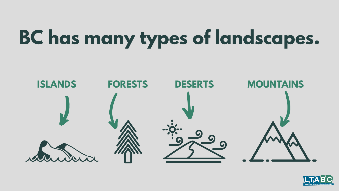# **BC has many types of landscapes.**



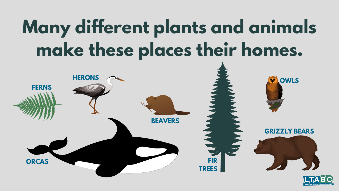# **Many different plants and animals make these places their homes.**



#### **GRIZZLY BEARS**



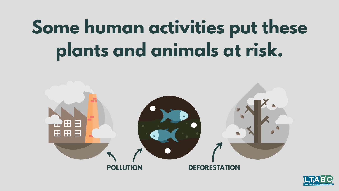# **Some human activities put these plants and animals at risk.**



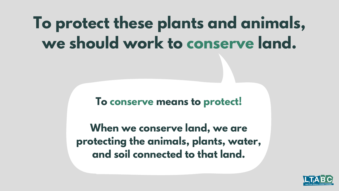### **To protect these plants and animals, we should work to conserve land.**

#### **To conserve means to protect!**

**When we conserve land, we are protecting the animals, plants, water, and soil connected to that land.**

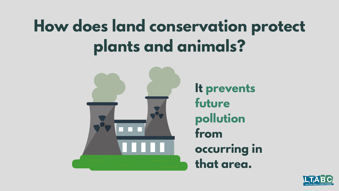### **How does land conservation protect plants and animals?**

**It prevents future pollution occurring in**





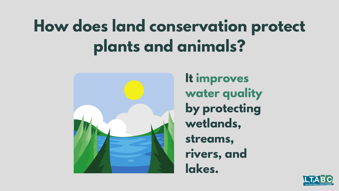### **How does land conservation protect plants and animals?**

**It improves water quality by protecting wetlands, rivers, and**



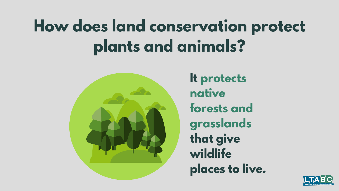### **How does land conservation protect plants and animals?**



**It protects forests and grasslands that give wildlife places to live.**

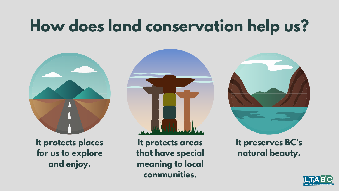## **How does land conservation help us?**



**It protects places for us to explore and enjoy.**

**It protects areas that have special meaning to local communities.**



#### **It preserves BC's natural beauty.**

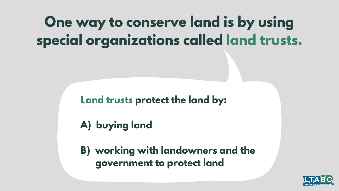### **One way to conserve land is by using special organizations called land trusts.**

#### **Land trusts protect the land by:**

### **A) buying land**

#### **B) working with landowners and the government to protect land**